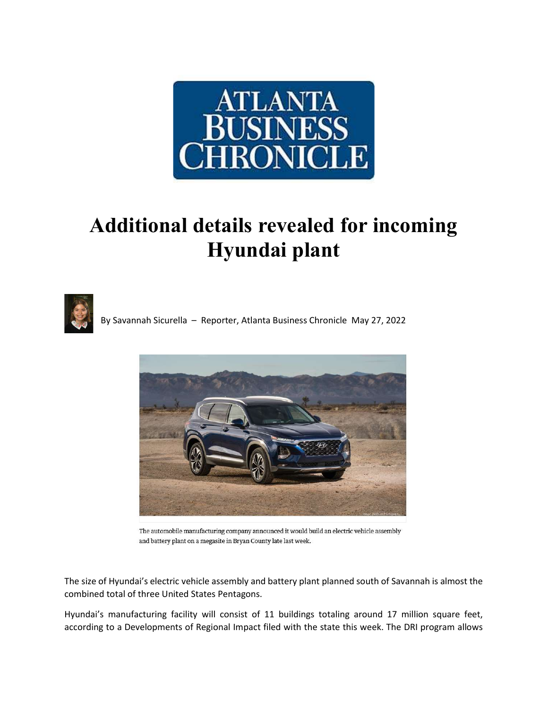

## Additional details revealed for incoming Hyundai plant



By Savannah Sicurella – Reporter, Atlanta Business Chronicle May 27, 2022



The automobile manufacturing company announced it would build an electric vehicle assembly and battery plant on a megasite in Bryan County late last week.

The size of Hyundai's electric vehicle assembly and battery plant planned south of Savannah is almost the combined total of three United States Pentagons.

Hyundai's manufacturing facility will consist of 11 buildings totaling around 17 million square feet, according to a Developments of Regional Impact filed with the state this week. The DRI program allows